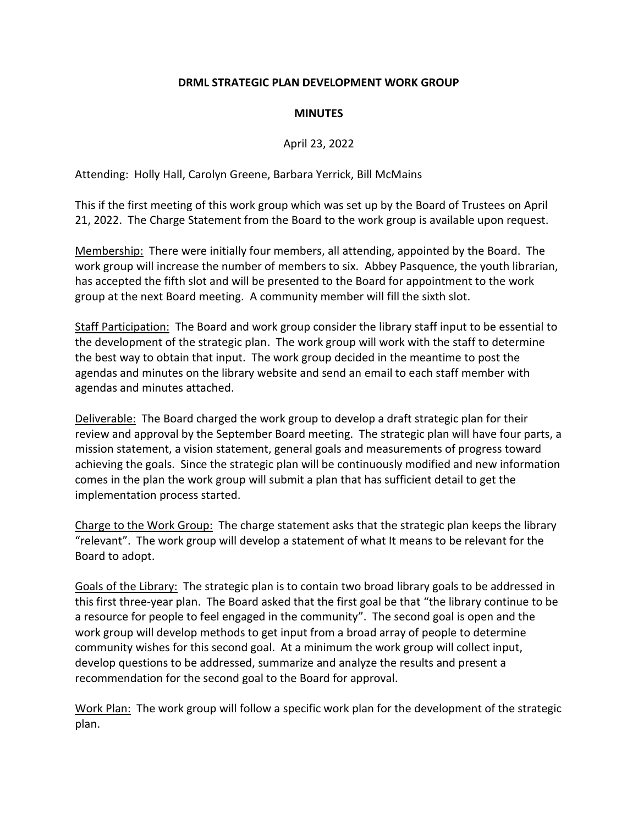## **DRML STRATEGIC PLAN DEVELOPMENT WORK GROUP**

## **MINUTES**

## April 23, 2022

Attending: Holly Hall, Carolyn Greene, Barbara Yerrick, Bill McMains

This if the first meeting of this work group which was set up by the Board of Trustees on April 21, 2022. The Charge Statement from the Board to the work group is available upon request.

Membership: There were initially four members, all attending, appointed by the Board. The work group will increase the number of members to six. Abbey Pasquence, the youth librarian, has accepted the fifth slot and will be presented to the Board for appointment to the work group at the next Board meeting. A community member will fill the sixth slot.

Staff Participation: The Board and work group consider the library staff input to be essential to the development of the strategic plan. The work group will work with the staff to determine the best way to obtain that input. The work group decided in the meantime to post the agendas and minutes on the library website and send an email to each staff member with agendas and minutes attached.

Deliverable: The Board charged the work group to develop a draft strategic plan for their review and approval by the September Board meeting. The strategic plan will have four parts, a mission statement, a vision statement, general goals and measurements of progress toward achieving the goals. Since the strategic plan will be continuously modified and new information comes in the plan the work group will submit a plan that has sufficient detail to get the implementation process started.

Charge to the Work Group: The charge statement asks that the strategic plan keeps the library "relevant". The work group will develop a statement of what It means to be relevant for the Board to adopt.

Goals of the Library: The strategic plan is to contain two broad library goals to be addressed in this first three-year plan. The Board asked that the first goal be that "the library continue to be a resource for people to feel engaged in the community". The second goal is open and the work group will develop methods to get input from a broad array of people to determine community wishes for this second goal. At a minimum the work group will collect input, develop questions to be addressed, summarize and analyze the results and present a recommendation for the second goal to the Board for approval.

Work Plan: The work group will follow a specific work plan for the development of the strategic plan.